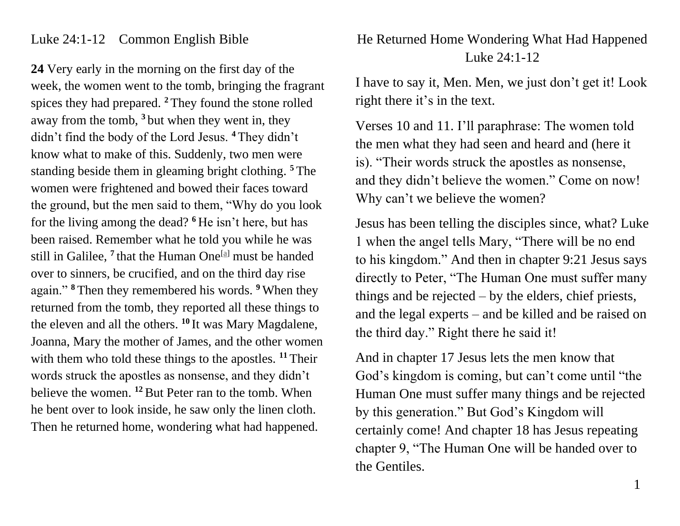## Luke 24:1-12 Common English Bible

**24** Very early in the morning on the first day of the week, the women went to the tomb, bringing the fragrant spices they had prepared. **<sup>2</sup>** They found the stone rolled away from the tomb, **<sup>3</sup>** but when they went in, they didn't find the body of the Lord Jesus. **<sup>4</sup>** They didn't know what to make of this. Suddenly, two men were standing beside them in gleaming bright clothing. **<sup>5</sup>** The women were frightened and bowed their faces toward the ground, but the men said to them, "Why do you look for the living among the dead? **<sup>6</sup>** He isn't here, but has been raised. Remember what he told you while he was still in Galilee, <sup>7</sup> that the Human One<sup>[\[a\]](https://www.biblegateway.com/passage/?search=Luke+24%3A1-12&version=CEB#fen-CEB-25988a)</sup> must be handed over to sinners, be crucified, and on the third day rise again." **<sup>8</sup>** Then they remembered his words. **<sup>9</sup>** When they returned from the tomb, they reported all these things to the eleven and all the others. **<sup>10</sup>** It was Mary Magdalene, Joanna, Mary the mother of James, and the other women with them who told these things to the apostles. <sup>11</sup> Their words struck the apostles as nonsense, and they didn't believe the women. **<sup>12</sup>**But Peter ran to the tomb. When he bent over to look inside, he saw only the linen cloth. Then he returned home, wondering what had happened.

## He Returned Home Wondering What Had Happened Luke 24:1-12

I have to say it, Men. Men, we just don't get it! Look right there it's in the text.

Verses 10 and 11. I'll paraphrase: The women told the men what they had seen and heard and (here it is). "Their words struck the apostles as nonsense, and they didn't believe the women." Come on now! Why can't we believe the women?

Jesus has been telling the disciples since, what? Luke 1 when the angel tells Mary, "There will be no end to his kingdom." And then in chapter 9:21 Jesus says directly to Peter, "The Human One must suffer many things and be rejected  $-$  by the elders, chief priests, and the legal experts – and be killed and be raised on the third day." Right there he said it!

And in chapter 17 Jesus lets the men know that God's kingdom is coming, but can't come until "the Human One must suffer many things and be rejected by this generation." But God's Kingdom will certainly come! And chapter 18 has Jesus repeating chapter 9, "The Human One will be handed over to the Gentiles.